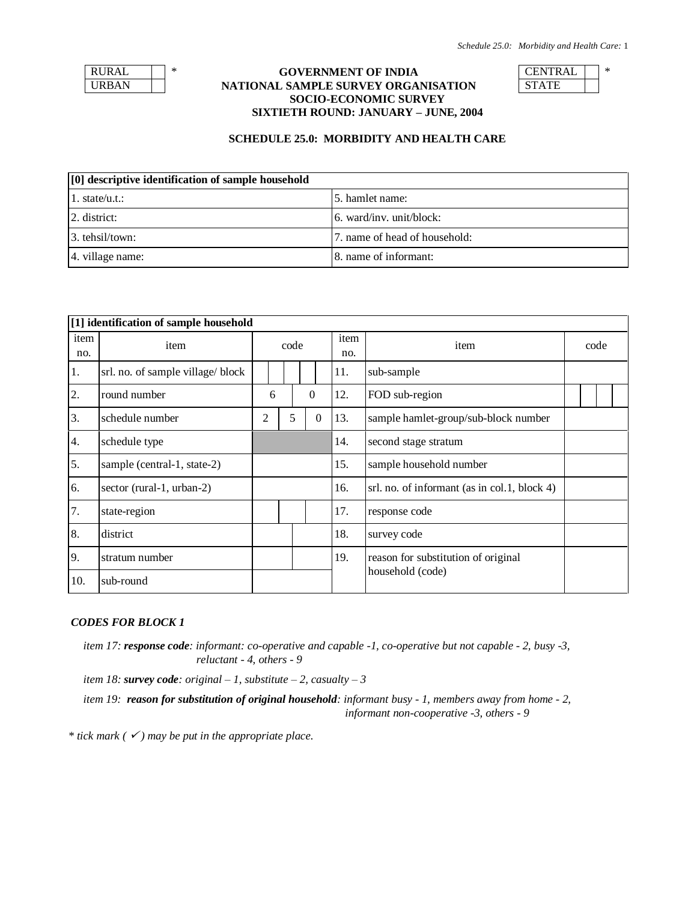| RURAL |  |
|-------|--|
| RBAN  |  |

## \* **GOVERNMENT OF INDIA** CENTRAL  $\vert$  \* **NATIONAL SAMPLE SURVEY ORGANISATION SOCIO-ECONOMIC SURVEY SIXTIETH ROUND: JANUARY – JUNE, 2004**

| くし |  |
|----|--|
|    |  |

### **SCHEDULE 25.0: MORBIDITY AND HEALTH CARE**

| [0] descriptive identification of sample household |                               |  |  |  |  |  |  |  |
|----------------------------------------------------|-------------------------------|--|--|--|--|--|--|--|
| 1. state/u.t.:                                     | 15. hamlet name:              |  |  |  |  |  |  |  |
| 2. district:                                       | $6.$ ward/inv. unit/block:    |  |  |  |  |  |  |  |
| 3. tehsil/town:                                    | 7. name of head of household: |  |  |  |  |  |  |  |
| 4. village name:                                   | 8. name of informant:         |  |  |  |  |  |  |  |

|             | [1] identification of sample household |      |               |   |     |                                     |      |                                              |  |  |  |  |
|-------------|----------------------------------------|------|---------------|---|-----|-------------------------------------|------|----------------------------------------------|--|--|--|--|
| item<br>no. | item                                   | code |               |   |     | item<br>no.                         | item | code                                         |  |  |  |  |
| 1.          | srl. no. of sample village/ block      |      |               |   |     |                                     | 11.  | sub-sample                                   |  |  |  |  |
| 2.          | round number                           |      | $\theta$<br>6 |   |     |                                     | 12.  | FOD sub-region                               |  |  |  |  |
| 3.          | schedule number                        | 2    |               | 5 |     | $\boldsymbol{0}$                    | 13.  | sample hamlet-group/sub-block number         |  |  |  |  |
| 4.          | schedule type                          |      |               |   |     |                                     | 14.  | second stage stratum                         |  |  |  |  |
| 5.          | sample (central-1, state-2)            |      |               |   |     |                                     | 15.  | sample household number                      |  |  |  |  |
| 6.          | sector (rural-1, urban-2)              |      |               |   |     |                                     | 16.  | srl. no. of informant (as in col.1, block 4) |  |  |  |  |
| 7.          | state-region                           |      |               |   |     |                                     | 17.  | response code                                |  |  |  |  |
| 8.          | district                               |      |               |   |     |                                     | 18.  | survey code                                  |  |  |  |  |
| 9.          | stratum number                         |      |               |   | 19. | reason for substitution of original |      |                                              |  |  |  |  |
| 10.         | sub-round                              |      |               |   |     |                                     |      | household (code)                             |  |  |  |  |

## *CODES FOR BLOCK 1*

*item 17: response code: informant: co-operative and capable -1, co-operative but not capable - 2, busy -3, reluctant - 4, others - 9*

*item 18: survey code: original – 1, substitute – 2, casualty – 3*

*item 19: reason for substitution of original household: informant busy - 1, members away from home - 2, informant non-cooperative -3, others - 9*

*\* tick mark ( ) may be put in the appropriate place.*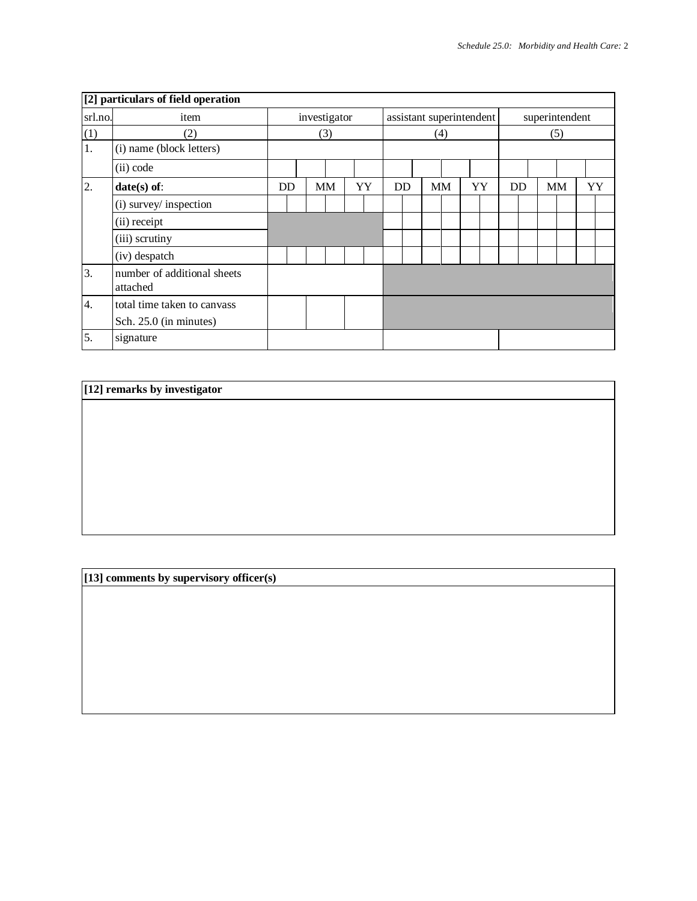|                  | [2] particulars of field operation      |    |     |              |    |  |     |  |           |                          |    |     |                |  |           |  |    |
|------------------|-----------------------------------------|----|-----|--------------|----|--|-----|--|-----------|--------------------------|----|-----|----------------|--|-----------|--|----|
| srl.no.          | item                                    |    |     | investigator |    |  |     |  |           | assistant superintendent |    |     | superintendent |  |           |  |    |
| (1)              | (2)                                     |    | (3) |              |    |  | (4) |  |           |                          |    | (5) |                |  |           |  |    |
| 1.               | (i) name (block letters)                |    |     |              |    |  |     |  |           |                          |    |     |                |  |           |  |    |
|                  | (ii) code                               |    |     |              |    |  |     |  |           |                          |    |     |                |  |           |  |    |
| 2.               | $date(s)$ of:                           | DD |     | <b>MM</b>    | YY |  | DD  |  | <b>MM</b> |                          | YY |     | DD             |  | <b>MM</b> |  | YY |
|                  | (i) survey/ inspection                  |    |     |              |    |  |     |  |           |                          |    |     |                |  |           |  |    |
|                  | (ii) receipt                            |    |     |              |    |  |     |  |           |                          |    |     |                |  |           |  |    |
|                  | (iii) scrutiny                          |    |     |              |    |  |     |  |           |                          |    |     |                |  |           |  |    |
|                  | (iv) despatch                           |    |     |              |    |  |     |  |           |                          |    |     |                |  |           |  |    |
| 3.               | number of additional sheets<br>attached |    |     |              |    |  |     |  |           |                          |    |     |                |  |           |  |    |
| $\overline{4}$ . | total time taken to canvass             |    |     |              |    |  |     |  |           |                          |    |     |                |  |           |  |    |
|                  | Sch. 25.0 (in minutes)                  |    |     |              |    |  |     |  |           |                          |    |     |                |  |           |  |    |
| 5.               | signature                               |    |     |              |    |  |     |  |           |                          |    |     |                |  |           |  |    |

# **[12] remarks by investigator**

**[13] comments by supervisory officer(s)**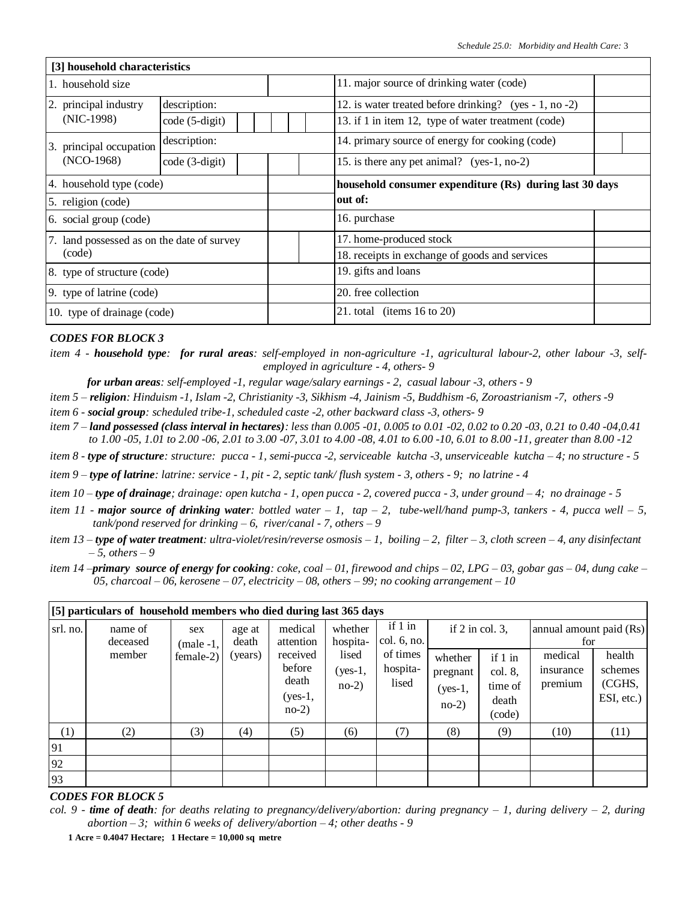|                          | [3] household characteristics              |                |  |  |  |                                                         |                                                        |  |  |  |  |  |  |  |
|--------------------------|--------------------------------------------|----------------|--|--|--|---------------------------------------------------------|--------------------------------------------------------|--|--|--|--|--|--|--|
|                          | 1. household size                          |                |  |  |  |                                                         | 11. major source of drinking water (code)              |  |  |  |  |  |  |  |
|                          | 2. principal industry                      | description:   |  |  |  |                                                         | 12. is water treated before drinking? (yes - 1, no -2) |  |  |  |  |  |  |  |
|                          | $(NIC-1998)$                               | code (5-digit) |  |  |  |                                                         | 13. if 1 in item 12, type of water treatment (code)    |  |  |  |  |  |  |  |
|                          | 3. principal occupation                    | description:   |  |  |  |                                                         | 14. primary source of energy for cooking (code)        |  |  |  |  |  |  |  |
|                          | $(NO-1968)$<br>code (3-digit)              |                |  |  |  |                                                         | 15. is there any pet animal? (yes-1, no-2)             |  |  |  |  |  |  |  |
| 4. household type (code) |                                            |                |  |  |  | household consumer expenditure (Rs) during last 30 days |                                                        |  |  |  |  |  |  |  |
|                          | 5. religion (code)                         |                |  |  |  |                                                         | out of:                                                |  |  |  |  |  |  |  |
|                          | 6. social group (code)                     |                |  |  |  |                                                         | 16. purchase                                           |  |  |  |  |  |  |  |
|                          | 7. land possessed as on the date of survey |                |  |  |  |                                                         | 17. home-produced stock                                |  |  |  |  |  |  |  |
|                          | (code)                                     |                |  |  |  |                                                         | 18. receipts in exchange of goods and services         |  |  |  |  |  |  |  |
|                          | 8. type of structure (code)                |                |  |  |  | 19. gifts and loans                                     |                                                        |  |  |  |  |  |  |  |
|                          | 9. type of latrine (code)                  |                |  |  |  | 20. free collection                                     |                                                        |  |  |  |  |  |  |  |
|                          | 10. type of drainage (code)                |                |  |  |  | 21. total (items $16$ to $20$ )                         |                                                        |  |  |  |  |  |  |  |

- *for urban areas: self-employed -1, regular wage/salary earnings - 2, casual labour -3, others - 9*
- *item 5 – religion: Hinduism -1, Islam -2, Christianity -3, Sikhism -4, Jainism -5, Buddhism -6, Zoroastrianism -7, others -9*
- *item 6 - social group: scheduled tribe-1, scheduled caste -2, other backward class -3, others- 9*
- *item 7 – land possessed (class interval in hectares): less than 0.005 -01, 0.005 to 0.01 -02, 0.02 to 0.20 -03, 0.21 to 0.40 -04,0.41 to 1.00 -05, 1.01 to 2.00 -06, 2.01 to 3.00 -07, 3.01 to 4.00 -08, 4.01 to 6.00 -10, 6.01 to 8.00 -11, greater than 8.00 -12*
- *item 8 - type of structure: structure: pucca - 1, semi-pucca -2, serviceable kutcha -3, unserviceable kutcha – 4; no structure - 5*
- *item 9 – type of latrine: latrine: service - 1, pit - 2, septic tank/ flush system - 3, others - 9; no latrine - 4*
- *item 10 – type of drainage; drainage: open kutcha - 1, open pucca - 2, covered pucca - 3, under ground – 4; no drainage - 5*
- *item 11 - major source of drinking water: bottled water – 1, tap – 2, tube-well/hand pump-3, tankers - 4, pucca well – 5, tank/pond reserved for drinking – 6, river/canal - 7, others – 9*
- *item 13 – type of water treatment: ultra-violet/resin/reverse osmosis – 1, boiling – 2, filter – 3, cloth screen – 4, any disinfectant – 5, others – 9*
- *item 14 –primary source of energy for cooking: coke, coal – 01, firewood and chips – 02, LPG – 03, gobar gas – 04, dung cake – 05, charcoal – 06, kerosene – 07, electricity – 08, others – 99; no cooking arrangement – 10*

|                  | [5] particulars of household members who died during last 365 days |                                |                            |                                                                  |                                                      |                                                         |                                                                                                 |        |                                                                   |                                           |  |  |  |  |
|------------------|--------------------------------------------------------------------|--------------------------------|----------------------------|------------------------------------------------------------------|------------------------------------------------------|---------------------------------------------------------|-------------------------------------------------------------------------------------------------|--------|-------------------------------------------------------------------|-------------------------------------------|--|--|--|--|
| srl. no.         | name of<br>deceased<br>member                                      | sex<br>$(male-1,$<br>female-2) | age at<br>death<br>(years) | medical<br>attention<br>received<br>before<br>death<br>$(yes-1,$ | whether<br>hospita-<br>lised<br>$(yes-1,$<br>$no-2)$ | if 1 in<br>col. 6, no.<br>of times<br>hospita-<br>lised | if $2$ in col. 3,<br>if 1 in<br>whether<br>col. 8,<br>pregnant<br>time of<br>$(yes-1,$<br>death |        | annual amount paid (Rs)<br>for<br>medical<br>insurance<br>premium | health<br>schemes<br>(CGHS,<br>ESI, etc.) |  |  |  |  |
|                  |                                                                    |                                |                            | $no-2)$                                                          |                                                      |                                                         | $no-2)$                                                                                         | (code) |                                                                   |                                           |  |  |  |  |
| $\left(1\right)$ | (2)                                                                | (3)                            | (4)                        | (5)                                                              | (6)                                                  | (7)                                                     | (8)                                                                                             | (9)    | (10)                                                              | (11)                                      |  |  |  |  |
| 91               |                                                                    |                                |                            |                                                                  |                                                      |                                                         |                                                                                                 |        |                                                                   |                                           |  |  |  |  |
| 92               |                                                                    |                                |                            |                                                                  |                                                      |                                                         |                                                                                                 |        |                                                                   |                                           |  |  |  |  |
| 93               |                                                                    |                                |                            |                                                                  |                                                      |                                                         |                                                                                                 |        |                                                                   |                                           |  |  |  |  |

*item 4 - household type: for rural areas: self-employed in non-agriculture -1, agricultural labour-2, other labour -3, selfemployed in agriculture - 4, others- 9*

*col. 9 - time of death: for deaths relating to pregnancy/delivery/abortion: during pregnancy – 1, during delivery – 2, during abortion – 3; within 6 weeks of delivery/abortion – 4; other deaths - 9*

**<sup>1</sup> Acre = 0.4047 Hectare; 1 Hectare = 10,000 sq metre**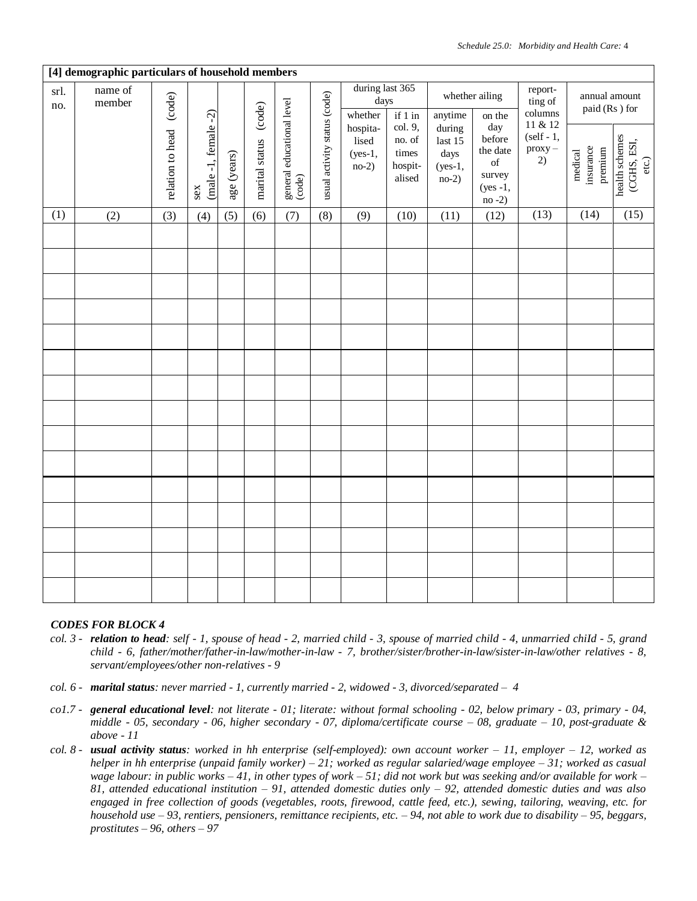|             | [4] demographic particulars of household members |                  |                             |             |                       |                                     |                              |                                           |                                                           |                                                     |                                                                                                                                                                    |                                                                                 |                                 |                                        |
|-------------|--------------------------------------------------|------------------|-----------------------------|-------------|-----------------------|-------------------------------------|------------------------------|-------------------------------------------|-----------------------------------------------------------|-----------------------------------------------------|--------------------------------------------------------------------------------------------------------------------------------------------------------------------|---------------------------------------------------------------------------------|---------------------------------|----------------------------------------|
| srl.<br>no. | name of<br>member                                | (code)           |                             |             |                       |                                     |                              | during last 365<br>days<br>whether        | $if 1 in$                                                 | anytime                                             | whether ailing<br>on the                                                                                                                                           | report-<br>ting of<br>columns                                                   | annual amount<br>paid (Rs) for  |                                        |
|             |                                                  | relation to head | $(male-1, female-2)$<br>sex | age (years) | marital status (code) | general educational level<br>(code) | usual activity status (code) | hospita-<br>lised<br>$(yes-1,$<br>$no-2)$ | col. 9,<br>$\,$ no. of $\,$<br>times<br>hospit-<br>alised | during<br>last $15$<br>days<br>$(yes-1,$<br>$no-2)$ | day<br>before<br>the date<br>$% \left( \left( \mathcal{A},\mathcal{A}\right) \right) =\left( \mathcal{A},\mathcal{A}\right)$ of<br>survey<br>$(yes -1,$<br>$no-2)$ | 11 & 12<br>$(self - 1,$<br>$\begin{pmatrix} \text{prox}_{y} \\ 2 \end{pmatrix}$ | insurance<br>premium<br>medical | health schemes<br>(CGHS, ESI,<br>etc.) |
| (1)         | (2)                                              | (3)              | (4)                         | (5)         | (6)                   | (7)                                 | (8)                          | (9)                                       | (10)                                                      | (11)                                                | (12)                                                                                                                                                               | (13)                                                                            | (14)                            | (15)                                   |
|             |                                                  |                  |                             |             |                       |                                     |                              |                                           |                                                           |                                                     |                                                                                                                                                                    |                                                                                 |                                 |                                        |
|             |                                                  |                  |                             |             |                       |                                     |                              |                                           |                                                           |                                                     |                                                                                                                                                                    |                                                                                 |                                 |                                        |
|             |                                                  |                  |                             |             |                       |                                     |                              |                                           |                                                           |                                                     |                                                                                                                                                                    |                                                                                 |                                 |                                        |
|             |                                                  |                  |                             |             |                       |                                     |                              |                                           |                                                           |                                                     |                                                                                                                                                                    |                                                                                 |                                 |                                        |
|             |                                                  |                  |                             |             |                       |                                     |                              |                                           |                                                           |                                                     |                                                                                                                                                                    |                                                                                 |                                 |                                        |
|             |                                                  |                  |                             |             |                       |                                     |                              |                                           |                                                           |                                                     |                                                                                                                                                                    |                                                                                 |                                 |                                        |
|             |                                                  |                  |                             |             |                       |                                     |                              |                                           |                                                           |                                                     |                                                                                                                                                                    |                                                                                 |                                 |                                        |
|             |                                                  |                  |                             |             |                       |                                     |                              |                                           |                                                           |                                                     |                                                                                                                                                                    |                                                                                 |                                 |                                        |
|             |                                                  |                  |                             |             |                       |                                     |                              |                                           |                                                           |                                                     |                                                                                                                                                                    |                                                                                 |                                 |                                        |
|             |                                                  |                  |                             |             |                       |                                     |                              |                                           |                                                           |                                                     |                                                                                                                                                                    |                                                                                 |                                 |                                        |
|             |                                                  |                  |                             |             |                       |                                     |                              |                                           |                                                           |                                                     |                                                                                                                                                                    |                                                                                 |                                 |                                        |
|             |                                                  |                  |                             |             |                       |                                     |                              |                                           |                                                           |                                                     |                                                                                                                                                                    |                                                                                 |                                 |                                        |
|             |                                                  |                  |                             |             |                       |                                     |                              |                                           |                                                           |                                                     |                                                                                                                                                                    |                                                                                 |                                 |                                        |
|             |                                                  |                  |                             |             |                       |                                     |                              |                                           |                                                           |                                                     |                                                                                                                                                                    |                                                                                 |                                 |                                        |
|             |                                                  |                  |                             |             |                       |                                     |                              |                                           |                                                           |                                                     |                                                                                                                                                                    |                                                                                 |                                 |                                        |

- *col. 3 - relation to head: self - 1, spouse of head - 2, married child - 3, spouse of married child - 4, unmarried chiId - 5, grand child - 6, father/mother/father-in-law/mother-in-law - 7, brother/sister/brother-in-law/sister-in-law/other relatives - 8, servant/employees/other non-relatives - 9*
- *col. 6 - marital status: never married - 1, currently married - 2, widowed - 3, divorced/separated 4*
- *co1.7 - general educational level: not literate - 01; literate: without formal schooling - 02, below primary - 03, primary - 04, middle - 05, secondary - 06, higher secondary - 07, diploma/certificate course – 08, graduate – 10, post-graduate & above - 11*
- *col. 8 - usual activity status: worked in hh enterprise (self-employed): own account worker – 11, employer – 12, worked as helper in hh enterprise (unpaid family worker) – 21; worked as regular salaried/wage employee – 31; worked as casual wage labour: in public works – 41, in other types of work – 51; did not work but was seeking and/or available for work – 81, attended educational institution – 91, attended domestic duties only – 92, attended domestic duties and was also engaged in free collection of goods (vegetables, roots, firewood, cattle feed, etc.), sewing, tailoring, weaving, etc. for household use – 93, rentiers, pensioners, remittance recipients, etc. – 94, not able to work due to disability – 95, beggars, prostitutes – 96, others – 97*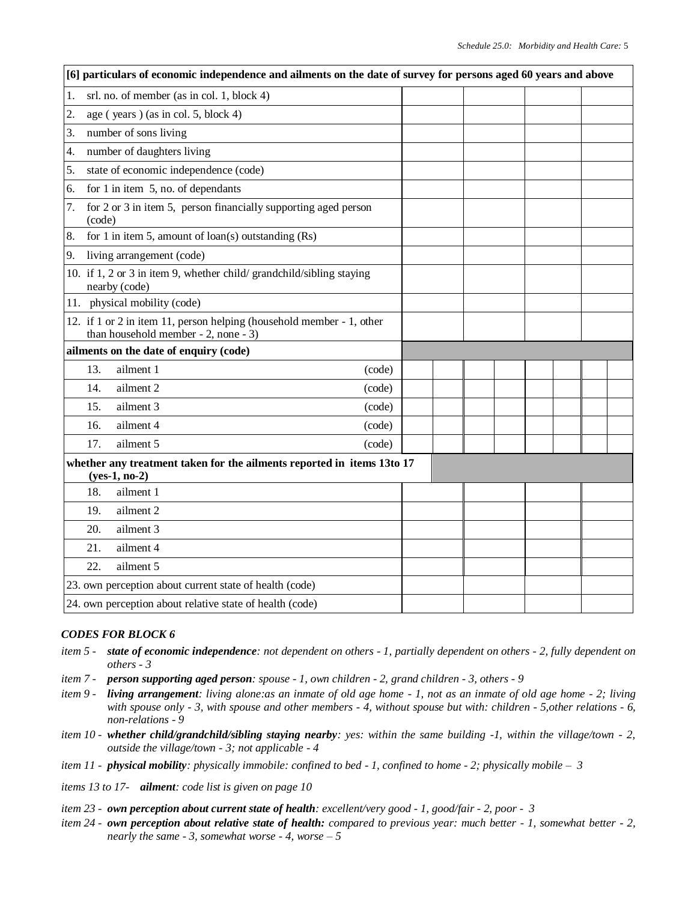| [6] particulars of economic independence and ailments on the date of survey for persons aged 60 years and above   |  |  |  |  |
|-------------------------------------------------------------------------------------------------------------------|--|--|--|--|
| 1.<br>srl. no. of member (as in col. 1, block 4)                                                                  |  |  |  |  |
| 2.<br>age (years) (as in col. 5, block 4)                                                                         |  |  |  |  |
| number of sons living<br>3.                                                                                       |  |  |  |  |
| number of daughters living<br>4.                                                                                  |  |  |  |  |
| state of economic independence (code)<br>5.                                                                       |  |  |  |  |
| for 1 in item $5$ , no. of dependants<br>6.                                                                       |  |  |  |  |
| for 2 or 3 in item 5, person financially supporting aged person<br>7.<br>(code)                                   |  |  |  |  |
| for 1 in item 5, amount of $\text{loan}(s)$ outstanding $(Rs)$<br>8.                                              |  |  |  |  |
| 9.<br>living arrangement (code)                                                                                   |  |  |  |  |
| 10. if 1, 2 or 3 in item 9, whether child/grandchild/sibling staying<br>nearby (code)                             |  |  |  |  |
| 11. physical mobility (code)                                                                                      |  |  |  |  |
| 12. if 1 or 2 in item 11, person helping (household member - 1, other<br>than household member $-2$ , none $-3$ ) |  |  |  |  |
| ailments on the date of enquiry (code)                                                                            |  |  |  |  |
| ailment 1<br>13.<br>(code)                                                                                        |  |  |  |  |
| 14.<br>ailment 2<br>(code)                                                                                        |  |  |  |  |
| 15.<br>ailment 3<br>(code)                                                                                        |  |  |  |  |
| ailment 4<br>16.<br>(code)                                                                                        |  |  |  |  |
| ailment 5<br>17.<br>(code)                                                                                        |  |  |  |  |
| whether any treatment taken for the ailments reported in items 13to 17<br>$(yes-1, no-2)$                         |  |  |  |  |
| 18.<br>ailment 1                                                                                                  |  |  |  |  |
| 19.<br>ailment 2                                                                                                  |  |  |  |  |
| ailment 3<br>20.                                                                                                  |  |  |  |  |
| ailment 4<br>21.                                                                                                  |  |  |  |  |
| 22.<br>ailment 5                                                                                                  |  |  |  |  |
| 23. own perception about current state of health (code)                                                           |  |  |  |  |
| 24. own perception about relative state of health (code)                                                          |  |  |  |  |

- *item 5 - state of economic independence: not dependent on others - 1, partially dependent on others - 2, fully dependent on others - 3*
- *item 7 - person supporting aged person: spouse - 1, own children - 2, grand children - 3, others - 9*
- *item 9 - living arrangement: living alone:as an inmate of old age home - 1, not as an inmate of old age home - 2; living with spouse only - 3, with spouse and other members - 4, without spouse but with: children - 5,other relations - 6, non-relations - 9*
- *item 10 - whether child/grandchild/sibling staying nearby: yes: within the same building -1, within the village/town - 2, outside the village/town - 3; not applicable - 4*
- *item 11 - physical mobility: physically immobile: confined to bed - 1, confined to home - 2; physically mobile 3*
- *items 13 to 17- ailment: code list is given on page 10*
- *item 23 - own perception about current state of health: excellent/very good - 1, good/fair - 2, poor 3*
- *item 24 - own perception about relative state of health: compared to previous year: much better - 1, somewhat better - 2, nearly the same - 3, somewhat worse - 4, worse – 5*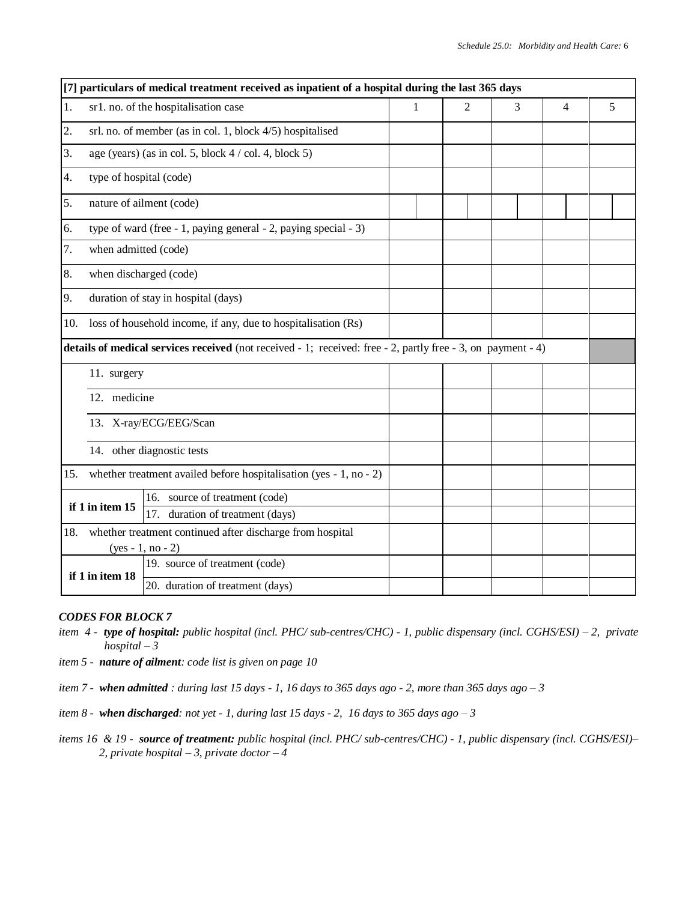|     |                                                     | [7] particulars of medical treatment received as inpatient of a hospital during the last 365 days            |   |   |   |   |   |  |  |  |  |
|-----|-----------------------------------------------------|--------------------------------------------------------------------------------------------------------------|---|---|---|---|---|--|--|--|--|
| 1.  |                                                     | sr1. no. of the hospitalisation case                                                                         | 1 | 2 | 3 | 4 | 5 |  |  |  |  |
| 2.  |                                                     | srl. no. of member (as in col. 1, block 4/5) hospitalised                                                    |   |   |   |   |   |  |  |  |  |
| 3.  |                                                     | age (years) (as in col. 5, block $4 / \text{col. } 4$ , block $5$ )                                          |   |   |   |   |   |  |  |  |  |
| 4.  | type of hospital (code)                             |                                                                                                              |   |   |   |   |   |  |  |  |  |
| 5.  |                                                     | nature of ailment (code)                                                                                     |   |   |   |   |   |  |  |  |  |
| 6.  |                                                     | type of ward (free - 1, paying general - 2, paying special - 3)                                              |   |   |   |   |   |  |  |  |  |
| 7.  | when admitted (code)                                |                                                                                                              |   |   |   |   |   |  |  |  |  |
| 8.  |                                                     | when discharged (code)                                                                                       |   |   |   |   |   |  |  |  |  |
| 9.  | duration of stay in hospital (days)                 |                                                                                                              |   |   |   |   |   |  |  |  |  |
| 10. |                                                     | loss of household income, if any, due to hospitalisation (Rs)                                                |   |   |   |   |   |  |  |  |  |
|     |                                                     | details of medical services received (not received - 1; received: free - 2, partly free - 3, on payment - 4) |   |   |   |   |   |  |  |  |  |
|     | 11. surgery                                         |                                                                                                              |   |   |   |   |   |  |  |  |  |
|     | 12. medicine                                        |                                                                                                              |   |   |   |   |   |  |  |  |  |
|     |                                                     | 13. X-ray/ECG/EEG/Scan                                                                                       |   |   |   |   |   |  |  |  |  |
|     |                                                     | 14. other diagnostic tests                                                                                   |   |   |   |   |   |  |  |  |  |
| 15. |                                                     | whether treatment availed before hospitalisation (yes - 1, no - 2)                                           |   |   |   |   |   |  |  |  |  |
|     | if 1 in item 15                                     | 16. source of treatment (code)                                                                               |   |   |   |   |   |  |  |  |  |
|     | 17. duration of treatment (days)                    |                                                                                                              |   |   |   |   |   |  |  |  |  |
| 18. |                                                     | whether treatment continued after discharge from hospital<br>$(yes - 1, no - 2)$                             |   |   |   |   |   |  |  |  |  |
|     |                                                     | 19. source of treatment (code)                                                                               |   |   |   |   |   |  |  |  |  |
|     | if 1 in item 18<br>20. duration of treatment (days) |                                                                                                              |   |   |   |   |   |  |  |  |  |

- *item 4 - type of hospital: public hospital (incl. PHC/ sub-centres/CHC) - 1, public dispensary (incl. CGHS/ESI) – 2, private hospital – 3*
- *item 5 nature of ailment: code list is given on page 10*
- *item 7 - when admitted : during last 15 days - 1, 16 days to 365 days ago - 2, more than 365 days ago – 3*
- *item 8 - when discharged: not yet - 1, during last 15 days - 2, 16 days to 365 days ago – 3*
- *items 16 & 19 - source of treatment: public hospital (incl. PHC/ sub-centres/CHC) - 1, public dispensary (incl. CGHS/ESI)– 2, private hospital – 3, private doctor – 4*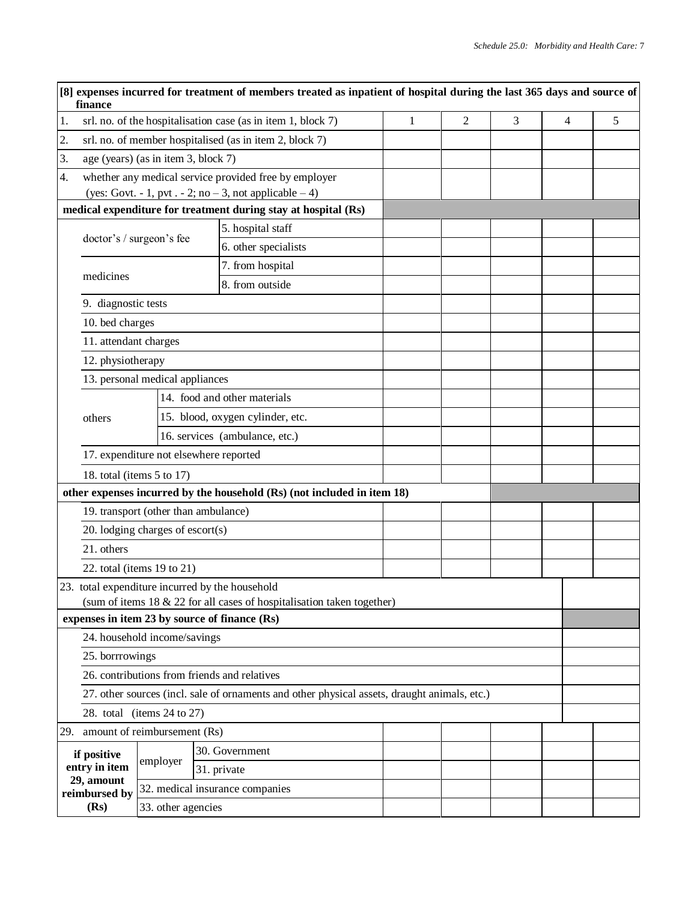|                                                                                              | finance                                   |                    | [8] expenses incurred for treatment of members treated as inpatient of hospital during the last 365 days and source of |   |   |   |   |   |  |  |
|----------------------------------------------------------------------------------------------|-------------------------------------------|--------------------|------------------------------------------------------------------------------------------------------------------------|---|---|---|---|---|--|--|
| 1.                                                                                           |                                           |                    | srl. no. of the hospitalisation case (as in item 1, block 7)                                                           | 1 | 2 | 3 | 4 | 5 |  |  |
| 2.                                                                                           |                                           |                    | srl. no. of member hospitalised (as in item 2, block 7)                                                                |   |   |   |   |   |  |  |
| 3.                                                                                           | age (years) (as in item 3, block 7)       |                    |                                                                                                                        |   |   |   |   |   |  |  |
| 4.                                                                                           |                                           |                    | whether any medical service provided free by employer<br>(yes: Govt. - 1, pvt. - 2; no $-3$ , not applicable $-4$ )    |   |   |   |   |   |  |  |
|                                                                                              |                                           |                    | medical expenditure for treatment during stay at hospital (Rs)                                                         |   |   |   |   |   |  |  |
|                                                                                              |                                           |                    | 5. hospital staff                                                                                                      |   |   |   |   |   |  |  |
|                                                                                              | doctor's / surgeon's fee                  |                    | 6. other specialists                                                                                                   |   |   |   |   |   |  |  |
|                                                                                              |                                           |                    | 7. from hospital                                                                                                       |   |   |   |   |   |  |  |
|                                                                                              | medicines                                 |                    | 8. from outside                                                                                                        |   |   |   |   |   |  |  |
|                                                                                              | 9. diagnostic tests                       |                    |                                                                                                                        |   |   |   |   |   |  |  |
|                                                                                              | 10. bed charges                           |                    |                                                                                                                        |   |   |   |   |   |  |  |
|                                                                                              | 11. attendant charges                     |                    |                                                                                                                        |   |   |   |   |   |  |  |
|                                                                                              | 12. physiotherapy                         |                    |                                                                                                                        |   |   |   |   |   |  |  |
|                                                                                              | 13. personal medical appliances           |                    |                                                                                                                        |   |   |   |   |   |  |  |
|                                                                                              |                                           |                    | 14. food and other materials                                                                                           |   |   |   |   |   |  |  |
|                                                                                              | others                                    |                    | 15. blood, oxygen cylinder, etc.                                                                                       |   |   |   |   |   |  |  |
|                                                                                              |                                           |                    | 16. services (ambulance, etc.)                                                                                         |   |   |   |   |   |  |  |
|                                                                                              |                                           |                    | 17. expenditure not elsewhere reported                                                                                 |   |   |   |   |   |  |  |
|                                                                                              | 18. total (items $5$ to 17)               |                    |                                                                                                                        |   |   |   |   |   |  |  |
|                                                                                              |                                           |                    | other expenses incurred by the household (Rs) (not included in item 18)                                                |   |   |   |   |   |  |  |
|                                                                                              |                                           |                    | 19. transport (other than ambulance)                                                                                   |   |   |   |   |   |  |  |
|                                                                                              | 20. lodging charges of $\text{escort}(s)$ |                    |                                                                                                                        |   |   |   |   |   |  |  |
|                                                                                              | 21. others                                |                    |                                                                                                                        |   |   |   |   |   |  |  |
|                                                                                              | 22. total (items 19 to 21)                |                    |                                                                                                                        |   |   |   |   |   |  |  |
|                                                                                              |                                           |                    | 23. total expenditure incurred by the household                                                                        |   |   |   |   |   |  |  |
|                                                                                              |                                           |                    | (sum of items 18 & 22 for all cases of hospitalisation taken together)                                                 |   |   |   |   |   |  |  |
|                                                                                              |                                           |                    | expenses in item 23 by source of finance (Rs)                                                                          |   |   |   |   |   |  |  |
|                                                                                              | 24. household income/savings              |                    |                                                                                                                        |   |   |   |   |   |  |  |
|                                                                                              | 25. borrrowings                           |                    |                                                                                                                        |   |   |   |   |   |  |  |
|                                                                                              |                                           |                    | 26. contributions from friends and relatives                                                                           |   |   |   |   |   |  |  |
| 27. other sources (incl. sale of ornaments and other physical assets, draught animals, etc.) |                                           |                    |                                                                                                                        |   |   |   |   |   |  |  |
|                                                                                              | 28. total (items $24$ to $27$ )           |                    |                                                                                                                        |   |   |   |   |   |  |  |
|                                                                                              | 29. amount of reimbursement (Rs)          |                    |                                                                                                                        |   |   |   |   |   |  |  |
|                                                                                              | if positive                               | employer           | 30. Government                                                                                                         |   |   |   |   |   |  |  |
|                                                                                              | entry in item<br>29, amount               |                    | 31. private                                                                                                            |   |   |   |   |   |  |  |
|                                                                                              | reimbursed by                             |                    | 32. medical insurance companies                                                                                        |   |   |   |   |   |  |  |
|                                                                                              | (Rs)                                      | 33. other agencies |                                                                                                                        |   |   |   |   |   |  |  |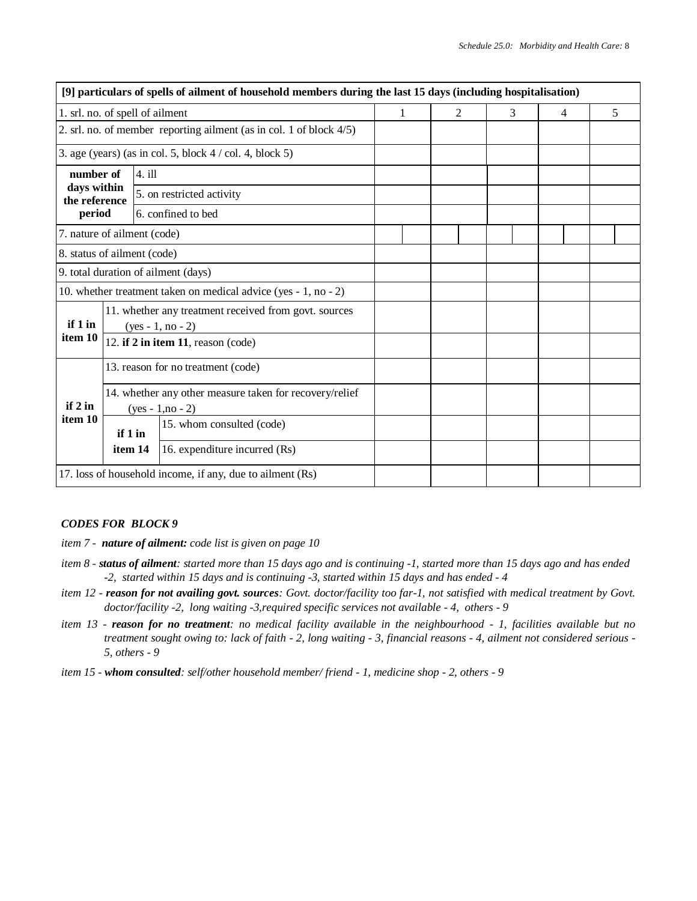|                              |         | [9] particulars of spells of ailment of household members during the last 15 days (including hospitalisation) |   |   |   |   |   |
|------------------------------|---------|---------------------------------------------------------------------------------------------------------------|---|---|---|---|---|
|                              |         | 1. srl. no. of spell of ailment                                                                               | 1 | 2 | 3 | 4 | 5 |
|                              |         | 2. srl. no. of member reporting ailment (as in col. 1 of block $4/5$ )                                        |   |   |   |   |   |
|                              |         | 3. age (years) (as in col. 5, block $4 / \text{col. } 4$ , block $5$ )                                        |   |   |   |   |   |
| number of                    |         | $4.$ ill                                                                                                      |   |   |   |   |   |
| days within<br>the reference |         | 5. on restricted activity                                                                                     |   |   |   |   |   |
| period                       |         | 6. confined to bed                                                                                            |   |   |   |   |   |
| 7. nature of ailment (code)  |         |                                                                                                               |   |   |   |   |   |
| 8. status of ailment (code)  |         |                                                                                                               |   |   |   |   |   |
|                              |         | 9. total duration of ailment (days)                                                                           |   |   |   |   |   |
|                              |         | 10. whether treatment taken on medical advice (yes - 1, no - 2)                                               |   |   |   |   |   |
| if 1 in                      |         | 11. whether any treatment received from govt. sources<br>$(yes - 1, no - 2)$                                  |   |   |   |   |   |
| item 10                      |         | 12. if 2 in item 11, reason (code)                                                                            |   |   |   |   |   |
|                              |         | 13. reason for no treatment (code)                                                                            |   |   |   |   |   |
| if 2 in                      |         | 14. whether any other measure taken for recovery/relief<br>$(yes - 1, no - 2)$                                |   |   |   |   |   |
| item 10                      | if 1 in | 15. whom consulted (code)                                                                                     |   |   |   |   |   |
|                              | item 14 | 16. expenditure incurred (Rs)                                                                                 |   |   |   |   |   |
|                              |         | 17. loss of household income, if any, due to ailment (Rs)                                                     |   |   |   |   |   |

- *item 7 - nature of ailment: code list is given on page 10*
- *item 8 - status of ailment: started more than 15 days ago and is continuing -1, started more than 15 days ago and has ended -2, started within 15 days and is continuing -3, started within 15 days and has ended - 4*
- *item 12 - reason for not availing govt. sources: Govt. doctor/facility too far-1, not satisfied with medical treatment by Govt. doctor/facility -2, long waiting -3,required specific services not available - 4, others - 9*
- *item 13 - reason for no treatment: no medical facility available in the neighbourhood - 1, facilities available but no treatment sought owing to: lack of faith - 2, long waiting - 3, financial reasons - 4, ailment not considered serious - 5, others - 9*
- *item 15 - whom consulted: self/other household member/ friend - 1, medicine shop - 2, others - 9*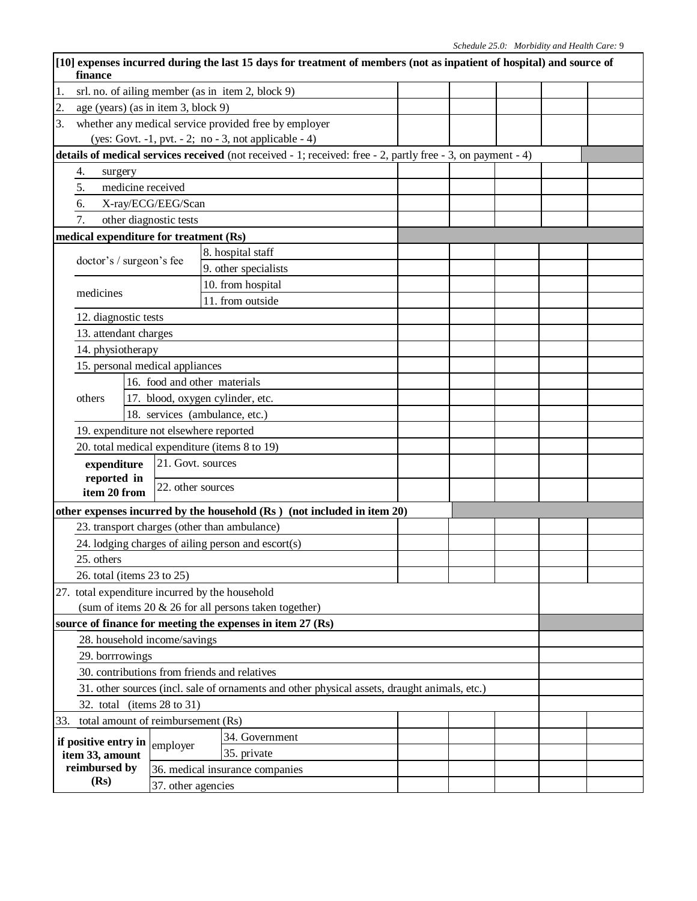|                                           | finance                                                                                      |                                                   | [10] expenses incurred during the last 15 days for treatment of members (not as inpatient of hospital) and source of |  |  |  |  |  |  |  |  |
|-------------------------------------------|----------------------------------------------------------------------------------------------|---------------------------------------------------|----------------------------------------------------------------------------------------------------------------------|--|--|--|--|--|--|--|--|
| 1.                                        |                                                                                              | srl. no. of ailing member (as in item 2, block 9) |                                                                                                                      |  |  |  |  |  |  |  |  |
| 2.                                        | age (years) (as in item 3, block 9)                                                          |                                                   |                                                                                                                      |  |  |  |  |  |  |  |  |
| 3.                                        |                                                                                              |                                                   | whether any medical service provided free by employer                                                                |  |  |  |  |  |  |  |  |
|                                           |                                                                                              |                                                   | (yes: Govt. -1, pvt. - 2; no - 3, not applicable - 4)                                                                |  |  |  |  |  |  |  |  |
|                                           |                                                                                              |                                                   | details of medical services received (not received - 1; received: free - 2, partly free - 3, on payment - 4)         |  |  |  |  |  |  |  |  |
|                                           | 4.<br>surgery                                                                                |                                                   |                                                                                                                      |  |  |  |  |  |  |  |  |
|                                           | 5.<br>medicine received                                                                      |                                                   |                                                                                                                      |  |  |  |  |  |  |  |  |
|                                           | 6.                                                                                           | X-ray/ECG/EEG/Scan                                |                                                                                                                      |  |  |  |  |  |  |  |  |
|                                           | 7.                                                                                           | other diagnostic tests                            |                                                                                                                      |  |  |  |  |  |  |  |  |
|                                           | medical expenditure for treatment (Rs)                                                       |                                                   |                                                                                                                      |  |  |  |  |  |  |  |  |
|                                           |                                                                                              |                                                   | 8. hospital staff                                                                                                    |  |  |  |  |  |  |  |  |
|                                           | doctor's / surgeon's fee                                                                     |                                                   | 9. other specialists                                                                                                 |  |  |  |  |  |  |  |  |
|                                           |                                                                                              |                                                   | 10. from hospital                                                                                                    |  |  |  |  |  |  |  |  |
|                                           | medicines                                                                                    |                                                   | 11. from outside                                                                                                     |  |  |  |  |  |  |  |  |
|                                           | 12. diagnostic tests                                                                         |                                                   |                                                                                                                      |  |  |  |  |  |  |  |  |
|                                           | 13. attendant charges                                                                        |                                                   |                                                                                                                      |  |  |  |  |  |  |  |  |
|                                           | 14. physiotherapy                                                                            |                                                   |                                                                                                                      |  |  |  |  |  |  |  |  |
|                                           | 15. personal medical appliances                                                              |                                                   |                                                                                                                      |  |  |  |  |  |  |  |  |
|                                           |                                                                                              |                                                   | 16. food and other materials                                                                                         |  |  |  |  |  |  |  |  |
|                                           | others                                                                                       |                                                   | 17. blood, oxygen cylinder, etc.                                                                                     |  |  |  |  |  |  |  |  |
|                                           |                                                                                              |                                                   | 18. services (ambulance, etc.)                                                                                       |  |  |  |  |  |  |  |  |
|                                           | 19. expenditure not elsewhere reported                                                       |                                                   |                                                                                                                      |  |  |  |  |  |  |  |  |
|                                           |                                                                                              |                                                   | 20. total medical expenditure (items 8 to 19)                                                                        |  |  |  |  |  |  |  |  |
|                                           | expenditure                                                                                  | 21. Govt. sources                                 |                                                                                                                      |  |  |  |  |  |  |  |  |
|                                           | reported in                                                                                  |                                                   |                                                                                                                      |  |  |  |  |  |  |  |  |
| 22. other sources<br>item 20 from         |                                                                                              |                                                   |                                                                                                                      |  |  |  |  |  |  |  |  |
|                                           |                                                                                              |                                                   | other expenses incurred by the household (Rs) (not included in item 20)                                              |  |  |  |  |  |  |  |  |
|                                           |                                                                                              |                                                   | 23. transport charges (other than ambulance)                                                                         |  |  |  |  |  |  |  |  |
|                                           |                                                                                              |                                                   | 24. lodging charges of ailing person and escort(s)                                                                   |  |  |  |  |  |  |  |  |
|                                           | 25. others                                                                                   |                                                   |                                                                                                                      |  |  |  |  |  |  |  |  |
|                                           | 26. total (items 23 to 25)                                                                   |                                                   |                                                                                                                      |  |  |  |  |  |  |  |  |
|                                           | 27. total expenditure incurred by the household                                              |                                                   |                                                                                                                      |  |  |  |  |  |  |  |  |
|                                           | (sum of items 20 & 26 for all persons taken together)                                        |                                                   |                                                                                                                      |  |  |  |  |  |  |  |  |
|                                           |                                                                                              |                                                   | source of finance for meeting the expenses in item 27 (Rs)                                                           |  |  |  |  |  |  |  |  |
|                                           | 28. household income/savings                                                                 |                                                   |                                                                                                                      |  |  |  |  |  |  |  |  |
|                                           | 29. borrrowings                                                                              |                                                   |                                                                                                                      |  |  |  |  |  |  |  |  |
|                                           |                                                                                              |                                                   | 30. contributions from friends and relatives                                                                         |  |  |  |  |  |  |  |  |
|                                           | 31. other sources (incl. sale of ornaments and other physical assets, draught animals, etc.) |                                                   |                                                                                                                      |  |  |  |  |  |  |  |  |
| 32. total (items 28 to 31)                |                                                                                              |                                                   |                                                                                                                      |  |  |  |  |  |  |  |  |
| total amount of reimbursement (Rs)<br>33. |                                                                                              |                                                   |                                                                                                                      |  |  |  |  |  |  |  |  |
|                                           | if positive entry in                                                                         | employer                                          | 34. Government                                                                                                       |  |  |  |  |  |  |  |  |
|                                           | item 33, amount                                                                              |                                                   | 35. private                                                                                                          |  |  |  |  |  |  |  |  |
|                                           | reimbursed by                                                                                | 36. medical insurance companies                   |                                                                                                                      |  |  |  |  |  |  |  |  |
| (Rs)                                      |                                                                                              | 37. other agencies                                |                                                                                                                      |  |  |  |  |  |  |  |  |